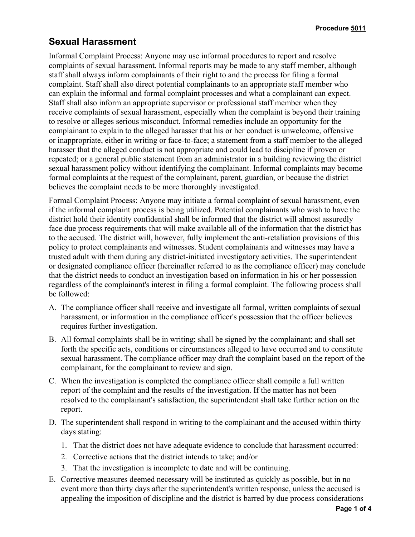## **Sexual Harassment**

Informal Complaint Process: Anyone may use informal procedures to report and resolve complaints of sexual harassment. Informal reports may be made to any staff member, although staff shall always inform complainants of their right to and the process for filing a formal complaint. Staff shall also direct potential complainants to an appropriate staff member who can explain the informal and formal complaint processes and what a complainant can expect. Staff shall also inform an appropriate supervisor or professional staff member when they receive complaints of sexual harassment, especially when the complaint is beyond their training to resolve or alleges serious misconduct. Informal remedies include an opportunity for the complainant to explain to the alleged harasser that his or her conduct is unwelcome, offensive or inappropriate, either in writing or face-to-face; a statement from a staff member to the alleged harasser that the alleged conduct is not appropriate and could lead to discipline if proven or repeated; or a general public statement from an administrator in a building reviewing the district sexual harassment policy without identifying the complainant. Informal complaints may become formal complaints at the request of the complainant, parent, guardian, or because the district believes the complaint needs to be more thoroughly investigated.

Formal Complaint Process: Anyone may initiate a formal complaint of sexual harassment, even if the informal complaint process is being utilized. Potential complainants who wish to have the district hold their identity confidential shall be informed that the district will almost assuredly face due process requirements that will make available all of the information that the district has to the accused. The district will, however, fully implement the anti-retaliation provisions of this policy to protect complainants and witnesses. Student complainants and witnesses may have a trusted adult with them during any district-initiated investigatory activities. The superintendent or designated compliance officer (hereinafter referred to as the compliance officer) may conclude that the district needs to conduct an investigation based on information in his or her possession regardless of the complainant's interest in filing a formal complaint. The following process shall be followed:

- A. The compliance officer shall receive and investigate all formal, written complaints of sexual harassment, or information in the compliance officer's possession that the officer believes requires further investigation.
- B. All formal complaints shall be in writing; shall be signed by the complainant; and shall set forth the specific acts, conditions or circumstances alleged to have occurred and to constitute sexual harassment. The compliance officer may draft the complaint based on the report of the complainant, for the complainant to review and sign.
- C. When the investigation is completed the compliance officer shall compile a full written report of the complaint and the results of the investigation. If the matter has not been resolved to the complainant's satisfaction, the superintendent shall take further action on the report.
- D. The superintendent shall respond in writing to the complainant and the accused within thirty days stating:
	- 1. That the district does not have adequate evidence to conclude that harassment occurred:
	- 2. Corrective actions that the district intends to take; and/or
	- 3. That the investigation is incomplete to date and will be continuing.
- E. Corrective measures deemed necessary will be instituted as quickly as possible, but in no event more than thirty days after the superintendent's written response, unless the accused is appealing the imposition of discipline and the district is barred by due process considerations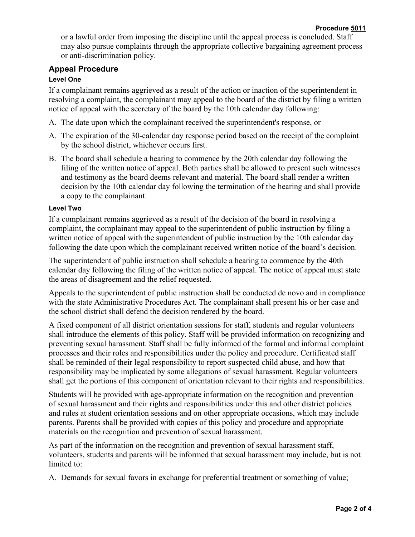or a lawful order from imposing the discipline until the appeal process is concluded. Staff may also pursue complaints through the appropriate collective bargaining agreement process or anti-discrimination policy.

## **Appeal Procedure**

## **Level One**

If a complainant remains aggrieved as a result of the action or inaction of the superintendent in resolving a complaint, the complainant may appeal to the board of the district by filing a written notice of appeal with the secretary of the board by the 10th calendar day following:

- A. The date upon which the complainant received the superintendent's response, or
- A. The expiration of the 30-calendar day response period based on the receipt of the complaint by the school district, whichever occurs first.
- B. The board shall schedule a hearing to commence by the 20th calendar day following the filing of the written notice of appeal. Both parties shall be allowed to present such witnesses and testimony as the board deems relevant and material. The board shall render a written decision by the 10th calendar day following the termination of the hearing and shall provide a copy to the complainant.

## **Level Two**

If a complainant remains aggrieved as a result of the decision of the board in resolving a complaint, the complainant may appeal to the superintendent of public instruction by filing a written notice of appeal with the superintendent of public instruction by the 10th calendar day following the date upon which the complainant received written notice of the board's decision.

The superintendent of public instruction shall schedule a hearing to commence by the 40th calendar day following the filing of the written notice of appeal. The notice of appeal must state the areas of disagreement and the relief requested.

Appeals to the superintendent of public instruction shall be conducted de novo and in compliance with the state Administrative Procedures Act. The complainant shall present his or her case and the school district shall defend the decision rendered by the board.

A fixed component of all district orientation sessions for staff, students and regular volunteers shall introduce the elements of this policy. Staff will be provided information on recognizing and preventing sexual harassment. Staff shall be fully informed of the formal and informal complaint processes and their roles and responsibilities under the policy and procedure. Certificated staff shall be reminded of their legal responsibility to report suspected child abuse, and how that responsibility may be implicated by some allegations of sexual harassment. Regular volunteers shall get the portions of this component of orientation relevant to their rights and responsibilities.

Students will be provided with age-appropriate information on the recognition and prevention of sexual harassment and their rights and responsibilities under this and other district policies and rules at student orientation sessions and on other appropriate occasions, which may include parents. Parents shall be provided with copies of this policy and procedure and appropriate materials on the recognition and prevention of sexual harassment.

As part of the information on the recognition and prevention of sexual harassment staff, volunteers, students and parents will be informed that sexual harassment may include, but is not limited to:

A. Demands for sexual favors in exchange for preferential treatment or something of value;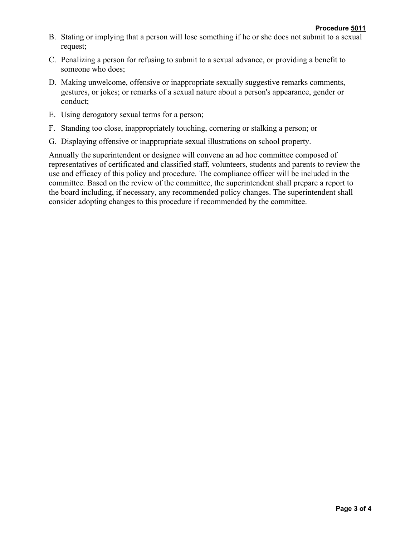- B. Stating or implying that a person will lose something if he or she does not submit to a sexual request;
- C. Penalizing a person for refusing to submit to a sexual advance, or providing a benefit to someone who does;
- D. Making unwelcome, offensive or inappropriate sexually suggestive remarks comments, gestures, or jokes; or remarks of a sexual nature about a person's appearance, gender or conduct;
- E. Using derogatory sexual terms for a person;
- F. Standing too close, inappropriately touching, cornering or stalking a person; or
- G. Displaying offensive or inappropriate sexual illustrations on school property.

Annually the superintendent or designee will convene an ad hoc committee composed of representatives of certificated and classified staff, volunteers, students and parents to review the use and efficacy of this policy and procedure. The compliance officer will be included in the committee. Based on the review of the committee, the superintendent shall prepare a report to the board including, if necessary, any recommended policy changes. The superintendent shall consider adopting changes to this procedure if recommended by the committee.